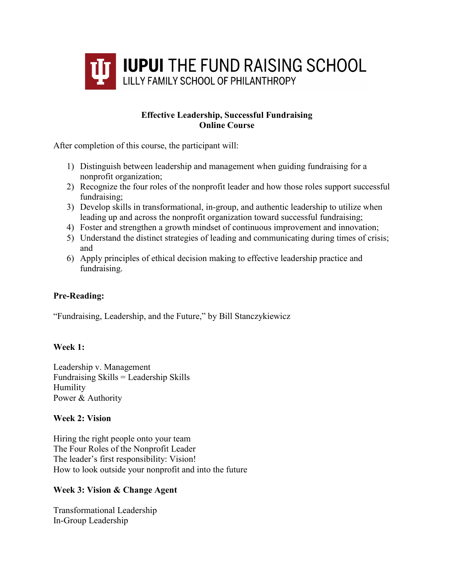

# **Effective Leadership, Successful Fundraising Online Course**

After completion of this course, the participant will:

- 1) Distinguish between leadership and management when guiding fundraising for a nonprofit organization;
- 2) Recognize the four roles of the nonprofit leader and how those roles support successful fundraising;
- 3) Develop skills in transformational, in-group, and authentic leadership to utilize when leading up and across the nonprofit organization toward successful fundraising;
- 4) Foster and strengthen a growth mindset of continuous improvement and innovation;
- 5) Understand the distinct strategies of leading and communicating during times of crisis; and
- 6) Apply principles of ethical decision making to effective leadership practice and fundraising.

# **Pre-Reading:**

"Fundraising, Leadership, and the Future," by Bill Stanczykiewicz

### **Week 1:**

Leadership v. Management Fundraising Skills = Leadership Skills Humility Power & Authority

### **Week 2: Vision**

Hiring the right people onto your team The Four Roles of the Nonprofit Leader The leader's first responsibility: Vision! How to look outside your nonprofit and into the future

### **Week 3: Vision & Change Agent**

Transformational Leadership In-Group Leadership